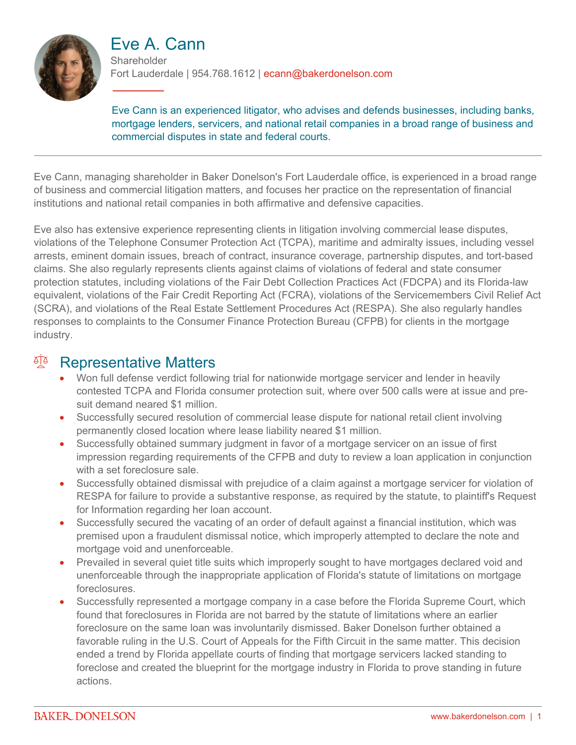

# Eve A. Cann

**Shareholder** Fort Lauderdale | 954.768.1612 | ecann@bakerdonelson.com

Eve Cann is an experienced litigator, who advises and defends businesses, including banks, mortgage lenders, servicers, and national retail companies in a broad range of business and commercial disputes in state and federal courts.

Eve Cann, managing shareholder in Baker Donelson's Fort Lauderdale office, is experienced in a broad range of business and commercial litigation matters, and focuses her practice on the representation of financial institutions and national retail companies in both affirmative and defensive capacities.

Eve also has extensive experience representing clients in litigation involving commercial lease disputes, violations of the Telephone Consumer Protection Act (TCPA), maritime and admiralty issues, including vessel arrests, eminent domain issues, breach of contract, insurance coverage, partnership disputes, and tort-based claims. She also regularly represents clients against claims of violations of federal and state consumer protection statutes, including violations of the Fair Debt Collection Practices Act (FDCPA) and its Florida-law equivalent, violations of the Fair Credit Reporting Act (FCRA), violations of the Servicemembers Civil Relief Act (SCRA), and violations of the Real Estate Settlement Procedures Act (RESPA). She also regularly handles responses to complaints to the Consumer Finance Protection Bureau (CFPB) for clients in the mortgage industry.

#### <sup>A</sup> Representative Matters

- Won full defense verdict following trial for nationwide mortgage servicer and lender in heavily contested TCPA and Florida consumer protection suit, where over 500 calls were at issue and presuit demand neared \$1 million.
- Successfully secured resolution of commercial lease dispute for national retail client involving permanently closed location where lease liability neared \$1 million.
- Successfully obtained summary judgment in favor of a mortgage servicer on an issue of first impression regarding requirements of the CFPB and duty to review a loan application in conjunction with a set foreclosure sale.
- Successfully obtained dismissal with prejudice of a claim against a mortgage servicer for violation of RESPA for failure to provide a substantive response, as required by the statute, to plaintiff's Request for Information regarding her loan account.
- Successfully secured the vacating of an order of default against a financial institution, which was premised upon a fraudulent dismissal notice, which improperly attempted to declare the note and mortgage void and unenforceable.
- Prevailed in several quiet title suits which improperly sought to have mortgages declared void and unenforceable through the inappropriate application of Florida's statute of limitations on mortgage foreclosures.
- Successfully represented a mortgage company in a case before the Florida Supreme Court, which found that foreclosures in Florida are not barred by the statute of limitations where an earlier foreclosure on the same loan was involuntarily dismissed. Baker Donelson further obtained a favorable ruling in the U.S. Court of Appeals for the Fifth Circuit in the same matter. This decision ended a trend by Florida appellate courts of finding that mortgage servicers lacked standing to foreclose and created the blueprint for the mortgage industry in Florida to prove standing in future actions.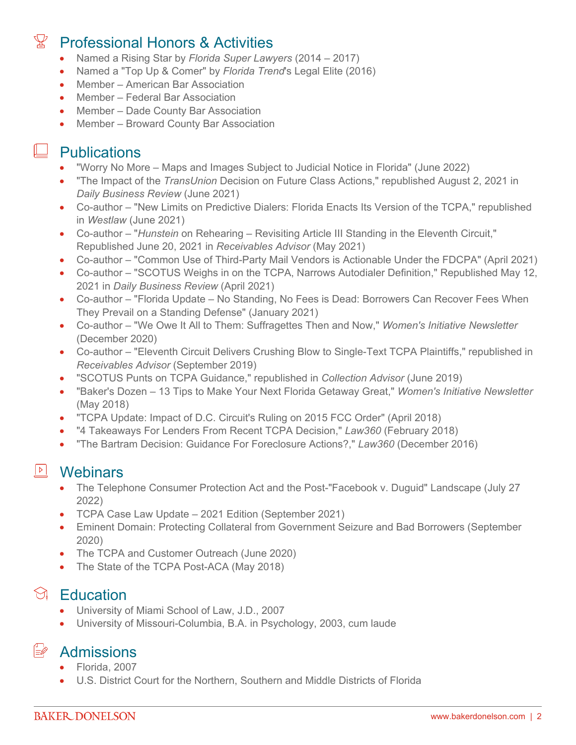# Professional Honors & Activities

- Named a Rising Star by *Florida Super Lawyers* (2014 2017)
- Named a "Top Up & Comer" by *Florida Trend*'s Legal Elite (2016)
- Member American Bar Association
- Member Federal Bar Association
- Member Dade County Bar Association
- Member Broward County Bar Association

# $\Box$  Publications

- "Worry No More Maps and Images Subject to Judicial Notice in Florida" (June 2022)
- "The Impact of the *TransUnion* Decision on Future Class Actions," republished August 2, 2021 in *Daily Business Review* (June 2021)
- Co-author "New Limits on Predictive Dialers: Florida Enacts Its Version of the TCPA," republished in *Westlaw* (June 2021)
- Co-author "*Hunstein* on Rehearing Revisiting Article III Standing in the Eleventh Circuit," Republished June 20, 2021 in *Receivables Advisor* (May 2021)
- Co-author "Common Use of Third-Party Mail Vendors is Actionable Under the FDCPA" (April 2021)
- Co-author "SCOTUS Weighs in on the TCPA, Narrows Autodialer Definition," Republished May 12, 2021 in *Daily Business Review* (April 2021)
- Co-author "Florida Update No Standing, No Fees is Dead: Borrowers Can Recover Fees When They Prevail on a Standing Defense" (January 2021)
- Co-author "We Owe It All to Them: Suffragettes Then and Now," *Women's Initiative Newsletter* (December 2020)
- Co-author "Eleventh Circuit Delivers Crushing Blow to Single-Text TCPA Plaintiffs," republished in *Receivables Advisor* (September 2019)
- "SCOTUS Punts on TCPA Guidance," republished in *Collection Advisor* (June 2019)
- "Baker's Dozen 13 Tips to Make Your Next Florida Getaway Great," *Women's Initiative Newsletter* (May 2018)
- "TCPA Update: Impact of D.C. Circuit's Ruling on 2015 FCC Order" (April 2018)
- "4 Takeaways For Lenders From Recent TCPA Decision," *Law360* (February 2018)
- "The Bartram Decision: Guidance For Foreclosure Actions?," *Law360* (December 2016)

## **D** Webinars

- The Telephone Consumer Protection Act and the Post-"Facebook v. Duguid" Landscape (July 27 2022)
- TCPA Case Law Update 2021 Edition (September 2021)
- Eminent Domain: Protecting Collateral from Government Seizure and Bad Borrowers (September 2020)
- The TCPA and Customer Outreach (June 2020)
- The State of the TCPA Post-ACA (May 2018)

## $\Im$  Education

- University of Miami School of Law, J.D., 2007
- University of Missouri-Columbia, B.A. in Psychology, 2003, cum laude

**E** Admissions

#### Florida, 2007

U.S. District Court for the Northern, Southern and Middle Districts of Florida